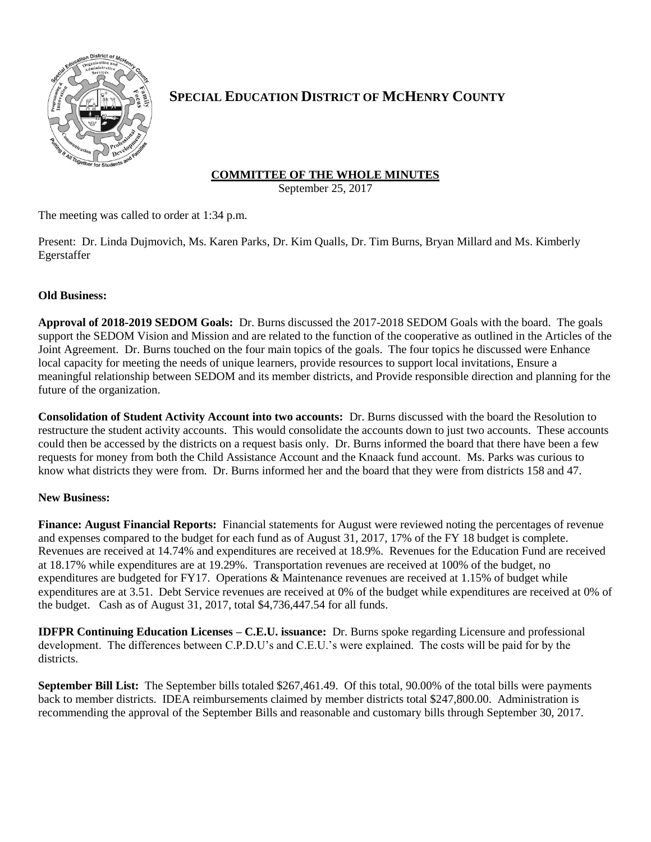

# **SPECIAL EDUCATION DISTRICT OF MCHENRY COUNTY**

## **COMMITTEE OF THE WHOLE MINUTES**

September 25, 2017

The meeting was called to order at 1:34 p.m.

Present: Dr. Linda Dujmovich, Ms. Karen Parks, Dr. Kim Qualls, Dr. Tim Burns, Bryan Millard and Ms. Kimberly Egerstaffer

### **Old Business:**

**Approval of 2018-2019 SEDOM Goals:** Dr. Burns discussed the 2017-2018 SEDOM Goals with the board. The goals support the SEDOM Vision and Mission and are related to the function of the cooperative as outlined in the Articles of the Joint Agreement. Dr. Burns touched on the four main topics of the goals. The four topics he discussed were Enhance local capacity for meeting the needs of unique learners, provide resources to support local invitations, Ensure a meaningful relationship between SEDOM and its member districts, and Provide responsible direction and planning for the future of the organization.

**Consolidation of Student Activity Account into two accounts:** Dr. Burns discussed with the board the Resolution to restructure the student activity accounts. This would consolidate the accounts down to just two accounts. These accounts could then be accessed by the districts on a request basis only. Dr. Burns informed the board that there have been a few requests for money from both the Child Assistance Account and the Knaack fund account. Ms. Parks was curious to know what districts they were from. Dr. Burns informed her and the board that they were from districts 158 and 47.

#### **New Business:**

**Finance: August Financial Reports:** Financial statements for August were reviewed noting the percentages of revenue and expenses compared to the budget for each fund as of August 31, 2017, 17% of the FY 18 budget is complete. Revenues are received at 14.74% and expenditures are received at 18.9%. Revenues for the Education Fund are received at 18.17% while expenditures are at 19.29%. Transportation revenues are received at 100% of the budget, no expenditures are budgeted for FY17. Operations & Maintenance revenues are received at 1.15% of budget while expenditures are at 3.51. Debt Service revenues are received at 0% of the budget while expenditures are received at 0% of the budget. Cash as of August 31, 2017, total \$4,736,447.54 for all funds.

**IDFPR Continuing Education Licenses – C.E.U. issuance:** Dr. Burns spoke regarding Licensure and professional development. The differences between C.P.D.U's and C.E.U.'s were explained. The costs will be paid for by the districts.

**September Bill List:** The September bills totaled \$267,461.49. Of this total, 90.00% of the total bills were payments back to member districts. IDEA reimbursements claimed by member districts total \$247,800.00. Administration is recommending the approval of the September Bills and reasonable and customary bills through September 30, 2017.